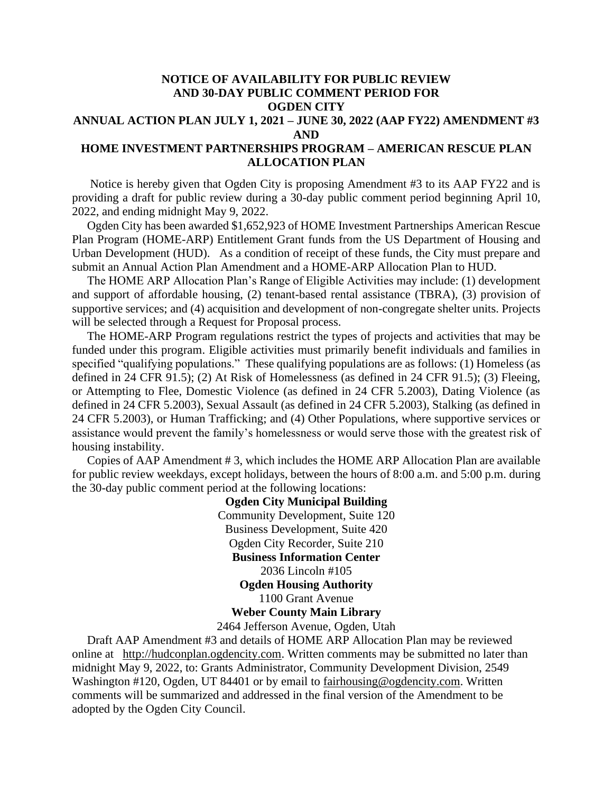## **NOTICE OF AVAILABILITY FOR PUBLIC REVIEW AND 30-DAY PUBLIC COMMENT PERIOD FOR OGDEN CITY ANNUAL ACTION PLAN JULY 1, 2021 – JUNE 30, 2022 (AAP FY22) AMENDMENT #3 AND HOME INVESTMENT PARTNERSHIPS PROGRAM – AMERICAN RESCUE PLAN**

## **ALLOCATION PLAN** Notice is hereby given that Ogden City is proposing Amendment #3 to its AAP FY22 and is

providing a draft for public review during a 30-day public comment period beginning April 10, 2022, and ending midnight May 9, 2022.

 Ogden City has been awarded \$1,652,923 of HOME Investment Partnerships American Rescue Plan Program (HOME-ARP) Entitlement Grant funds from the US Department of Housing and Urban Development (HUD). As a condition of receipt of these funds, the City must prepare and submit an Annual Action Plan Amendment and a HOME-ARP Allocation Plan to HUD.

 The HOME ARP Allocation Plan's Range of Eligible Activities may include: (1) development and support of affordable housing, (2) tenant-based rental assistance (TBRA), (3) provision of supportive services; and (4) acquisition and development of non-congregate shelter units. Projects will be selected through a Request for Proposal process.

 The HOME-ARP Program regulations restrict the types of projects and activities that may be funded under this program. Eligible activities must primarily benefit individuals and families in specified "qualifying populations." These qualifying populations are as follows: (1) Homeless (as defined in 24 CFR 91.5); (2) At Risk of Homelessness (as defined in 24 CFR 91.5); (3) Fleeing, or Attempting to Flee, Domestic Violence (as defined in 24 CFR 5.2003), Dating Violence (as defined in 24 CFR 5.2003), Sexual Assault (as defined in 24 CFR 5.2003), Stalking (as defined in 24 CFR 5.2003), or Human Trafficking; and (4) Other Populations, where supportive services or assistance would prevent the family's homelessness or would serve those with the greatest risk of housing instability.

 Copies of AAP Amendment # 3, which includes the HOME ARP Allocation Plan are available for public review weekdays, except holidays, between the hours of 8:00 a.m. and 5:00 p.m. during the 30-day public comment period at the following locations:

> **Ogden City Municipal Building** Community Development, Suite 120 Business Development, Suite 420 Ogden City Recorder, Suite 210 **Business Information Center** 2036 Lincoln #105 **Ogden Housing Authority** 1100 Grant Avenue **Weber County Main Library**

> 2464 Jefferson Avenue, Ogden, Utah

 Draft AAP Amendment #3 and details of HOME ARP Allocation Plan may be reviewed online at [http://hudconplan.ogdencity.com.](http://hudconplan.ogdencity.com/) Written comments may be submitted no later than midnight May 9, 2022, to: Grants Administrator, Community Development Division, 2549 Washington #120, Ogden, UT 84401 or by email to [fairhousing@ogdencity.com.](mailto:fairhousing@ogdencity.com) Written comments will be summarized and addressed in the final version of the Amendment to be adopted by the Ogden City Council.